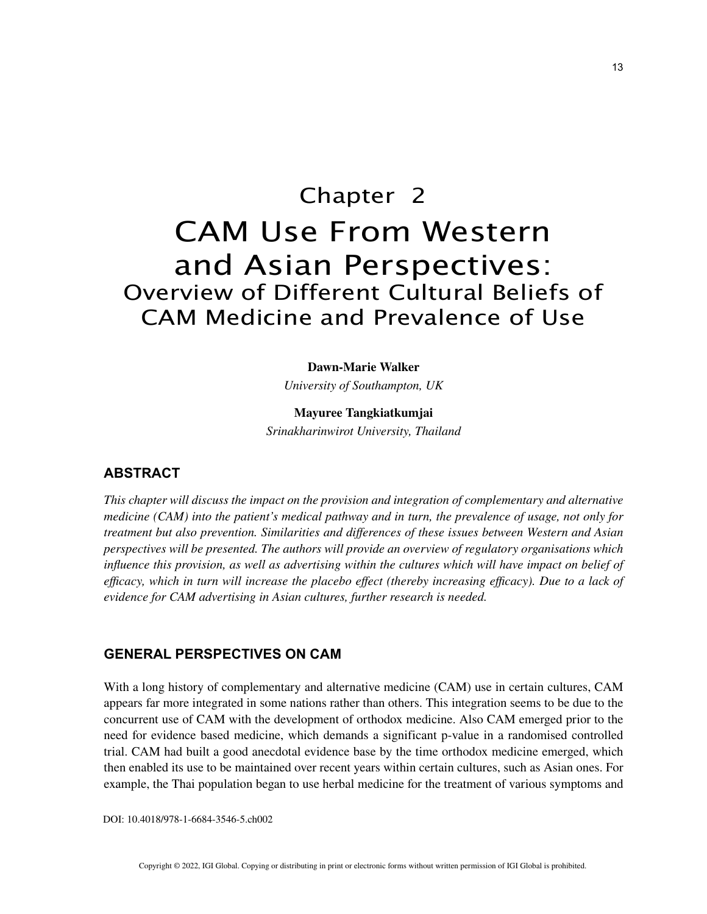# Chapter 2 CAM Use From Western and Asian Perspectives: Overview of Different Cultural Beliefs of CAM Medicine and Prevalence of Use

**Dawn-Marie Walker**

*University of Southampton, UK*

**Mayuree Tangkiatkumjai** *Srinakharinwirot University, Thailand*

## **ABSTRACT**

*This chapter will discuss the impact on the provision and integration of complementary and alternative medicine (CAM) into the patient's medical pathway and in turn, the prevalence of usage, not only for treatment but also prevention. Similarities and differences of these issues between Western and Asian perspectives will be presented. The authors will provide an overview of regulatory organisations which influence this provision, as well as advertising within the cultures which will have impact on belief of efficacy, which in turn will increase the placebo effect (thereby increasing efficacy). Due to a lack of evidence for CAM advertising in Asian cultures, further research is needed.*

## **GENERAL PERSPECTIVES ON CAM**

With a long history of complementary and alternative medicine (CAM) use in certain cultures, CAM appears far more integrated in some nations rather than others. This integration seems to be due to the concurrent use of CAM with the development of orthodox medicine. Also CAM emerged prior to the need for evidence based medicine, which demands a significant p-value in a randomised controlled trial. CAM had built a good anecdotal evidence base by the time orthodox medicine emerged, which then enabled its use to be maintained over recent years within certain cultures, such as Asian ones. For example, the Thai population began to use herbal medicine for the treatment of various symptoms and

DOI: 10.4018/978-1-6684-3546-5.ch002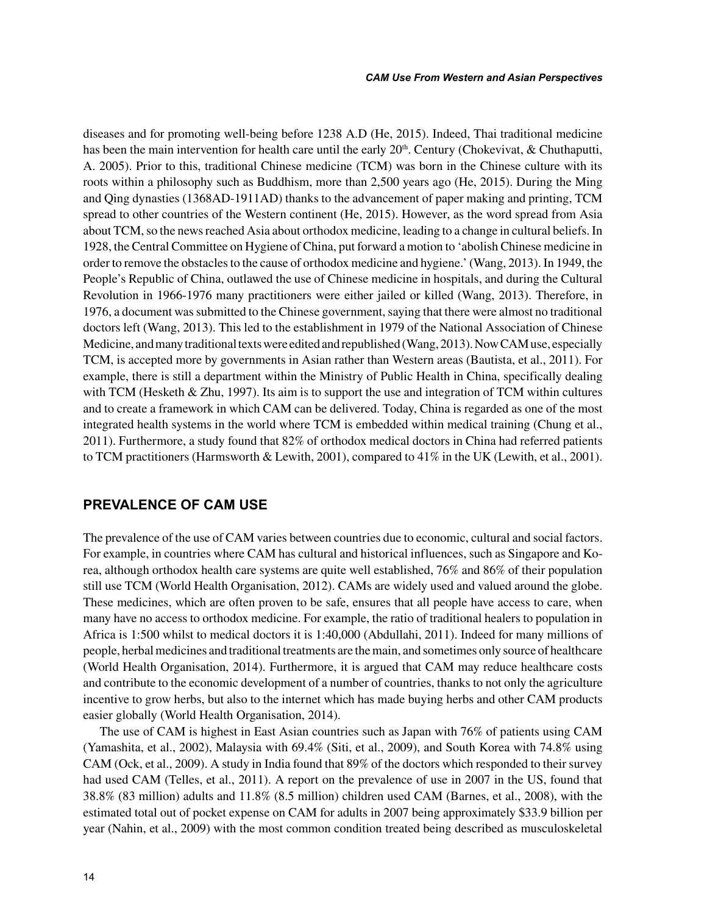diseases and for promoting well-being before 1238 A.D (He, 2015). Indeed, Thai traditional medicine has been the main intervention for health care until the early  $20<sup>th</sup>$ . Century (Chokevivat, & Chuthaputti, A. 2005). Prior to this, traditional Chinese medicine (TCM) was born in the Chinese culture with its roots within a philosophy such as Buddhism, more than 2,500 years ago (He, 2015). During the Ming and Qing dynasties (1368AD-1911AD) thanks to the advancement of paper making and printing, TCM spread to other countries of the Western continent (He, 2015). However, as the word spread from Asia about TCM, so the news reached Asia about orthodox medicine, leading to a change in cultural beliefs. In 1928, the Central Committee on Hygiene of China, put forward a motion to 'abolish Chinese medicine in order to remove the obstacles to the cause of orthodox medicine and hygiene.' (Wang, 2013). In 1949, the People's Republic of China, outlawed the use of Chinese medicine in hospitals, and during the Cultural Revolution in 1966-1976 many practitioners were either jailed or killed (Wang, 2013). Therefore, in 1976, a document was submitted to the Chinese government, saying that there were almost no traditional doctors left (Wang, 2013). This led to the establishment in 1979 of the National Association of Chinese Medicine, and many traditional texts were edited and republished (Wang, 2013). Now CAM use, especially TCM, is accepted more by governments in Asian rather than Western areas (Bautista, et al., 2011). For example, there is still a department within the Ministry of Public Health in China, specifically dealing with TCM (Hesketh & Zhu, 1997). Its aim is to support the use and integration of TCM within cultures and to create a framework in which CAM can be delivered. Today, China is regarded as one of the most integrated health systems in the world where TCM is embedded within medical training (Chung et al., 2011). Furthermore, a study found that 82% of orthodox medical doctors in China had referred patients to TCM practitioners (Harmsworth & Lewith, 2001), compared to 41% in the UK (Lewith, et al., 2001).

#### **PREVALENCE OF CAM USE**

The prevalence of the use of CAM varies between countries due to economic, cultural and social factors. For example, in countries where CAM has cultural and historical influences, such as Singapore and Korea, although orthodox health care systems are quite well established, 76% and 86% of their population still use TCM (World Health Organisation, 2012). CAMs are widely used and valued around the globe. These medicines, which are often proven to be safe, ensures that all people have access to care, when many have no access to orthodox medicine. For example, the ratio of traditional healers to population in Africa is 1:500 whilst to medical doctors it is 1:40,000 (Abdullahi, 2011). Indeed for many millions of people, herbal medicines and traditional treatments are the main, and sometimes only source of healthcare (World Health Organisation, 2014). Furthermore, it is argued that CAM may reduce healthcare costs and contribute to the economic development of a number of countries, thanks to not only the agriculture incentive to grow herbs, but also to the internet which has made buying herbs and other CAM products easier globally (World Health Organisation, 2014).

The use of CAM is highest in East Asian countries such as Japan with 76% of patients using CAM (Yamashita, et al., 2002), Malaysia with 69.4% (Siti, et al., 2009), and South Korea with 74.8% using CAM (Ock, et al., 2009). A study in India found that 89% of the doctors which responded to their survey had used CAM (Telles, et al., 2011). A report on the prevalence of use in 2007 in the US, found that 38.8% (83 million) adults and 11.8% (8.5 million) children used CAM (Barnes, et al., 2008), with the estimated total out of pocket expense on CAM for adults in 2007 being approximately \$33.9 billion per year (Nahin, et al., 2009) with the most common condition treated being described as musculoskeletal